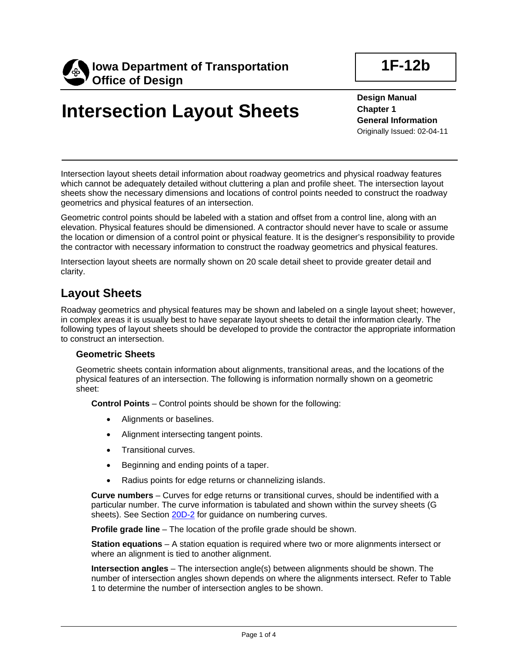

**1F-12b**

**Design Manual Chapter 1 General Information** Originally Issued: 02-04-11

Intersection layout sheets detail information about roadway geometrics and physical roadway features which cannot be adequately detailed without cluttering a plan and profile sheet. The intersection layout sheets show the necessary dimensions and locations of control points needed to construct the roadway geometrics and physical features of an intersection.

Geometric control points should be labeled with a station and offset from a control line, along with an elevation. Physical features should be dimensioned. A contractor should never have to scale or assume the location or dimension of a control point or physical feature. It is the designer's responsibility to provide the contractor with necessary information to construct the roadway geometrics and physical features.

Intersection layout sheets are normally shown on 20 scale detail sheet to provide greater detail and clarity.

# **Layout Sheets**

Roadway geometrics and physical features may be shown and labeled on a single layout sheet; however, in complex areas it is usually best to have separate layout sheets to detail the information clearly. The following types of layout sheets should be developed to provide the contractor the appropriate information to construct an intersection.

### **Geometric Sheets**

Geometric sheets contain information about alignments, transitional areas, and the locations of the physical features of an intersection. The following is information normally shown on a geometric sheet:

**Control Points** – Control points should be shown for the following:

- Alignments or baselines.
- Alignment intersecting tangent points.
- Transitional curves.
- Beginning and ending points of a taper.
- Radius points for edge returns or channelizing islands.

**Curve numbers** – Curves for edge returns or transitional curves, should be indentified with a particular number. The curve information is tabulated and shown within the survey sheets (G sheets). See Section 20D-2 for guidance on numbering curves.

**Profile grade line** – The location of the profile grade should be shown.

**Station equations** – A station equation is required where two or more alignments intersect or where an alignment is tied to another alignment.

**Intersection angles** – The intersection angle(s) between alignments should be shown. The number of intersection angles shown depends on where the alignments intersect. Refer to Table 1 to determine the number of intersection angles to be shown.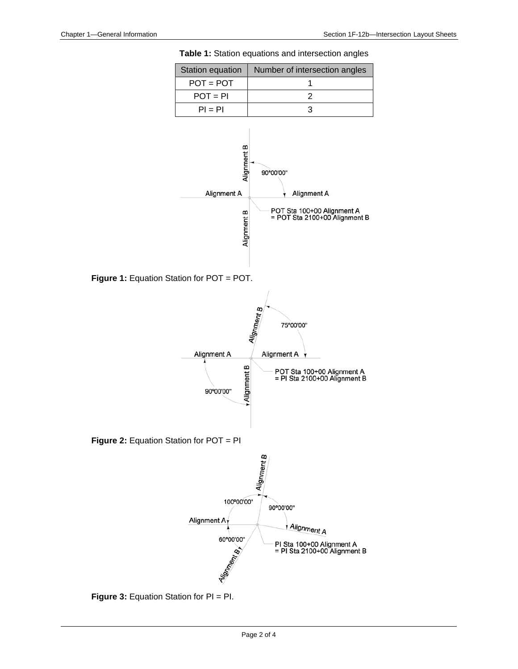



**Figure 3:** Equation Station for PI = PI.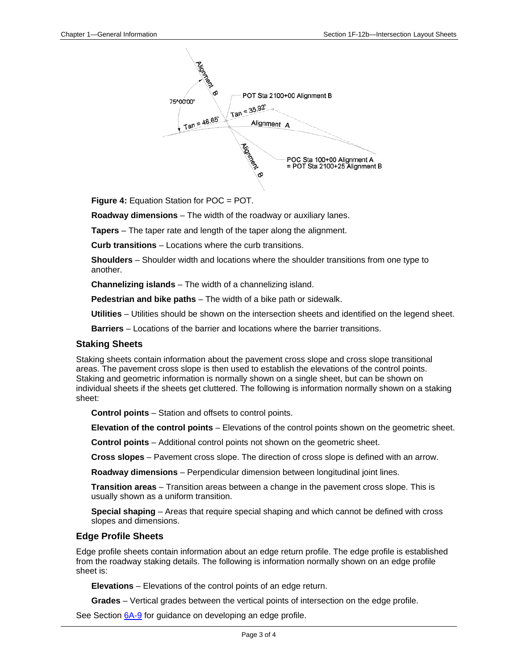

**Figure 4:** Equation Station for POC = POT.

**Roadway dimensions** – The width of the roadway or auxiliary lanes.

**Tapers** – The taper rate and length of the taper along the alignment.

**Curb transitions** – Locations where the curb transitions.

**Shoulders** – Shoulder width and locations where the shoulder transitions from one type to another.

**Channelizing islands** – The width of a channelizing island.

**Pedestrian and bike paths** – The width of a bike path or sidewalk.

**Utilities** – Utilities should be shown on the intersection sheets and identified on the legend sheet.

**Barriers** – Locations of the barrier and locations where the barrier transitions.

#### **Staking Sheets**

Staking sheets contain information about the pavement cross slope and cross slope transitional areas. The pavement cross slope is then used to establish the elevations of the control points. Staking and geometric information is normally shown on a single sheet, but can be shown on individual sheets if the sheets get cluttered. The following is information normally shown on a staking sheet:

**Control points** – Station and offsets to control points.

**Elevation of the control points** – Elevations of the control points shown on the geometric sheet.

**Control points** – Additional control points not shown on the geometric sheet.

**Cross slopes** – Pavement cross slope. The direction of cross slope is defined with an arrow.

**Roadway dimensions** – Perpendicular dimension between longitudinal joint lines.

**Transition areas** – Transition areas between a change in the pavement cross slope. This is usually shown as a uniform transition.

**Special shaping** – Areas that require special shaping and which cannot be defined with cross slopes and dimensions.

#### **Edge Profile Sheets**

Edge profile sheets contain information about an edge return profile. The edge profile is established from the roadway staking details. The following is information normally shown on an edge profile sheet is:

**Elevations** – Elevations of the control points of an edge return.

**Grades** – Vertical grades between the vertical points of intersection on the edge profile.

See Section 6A-9 for guidance on developing an edge profile.